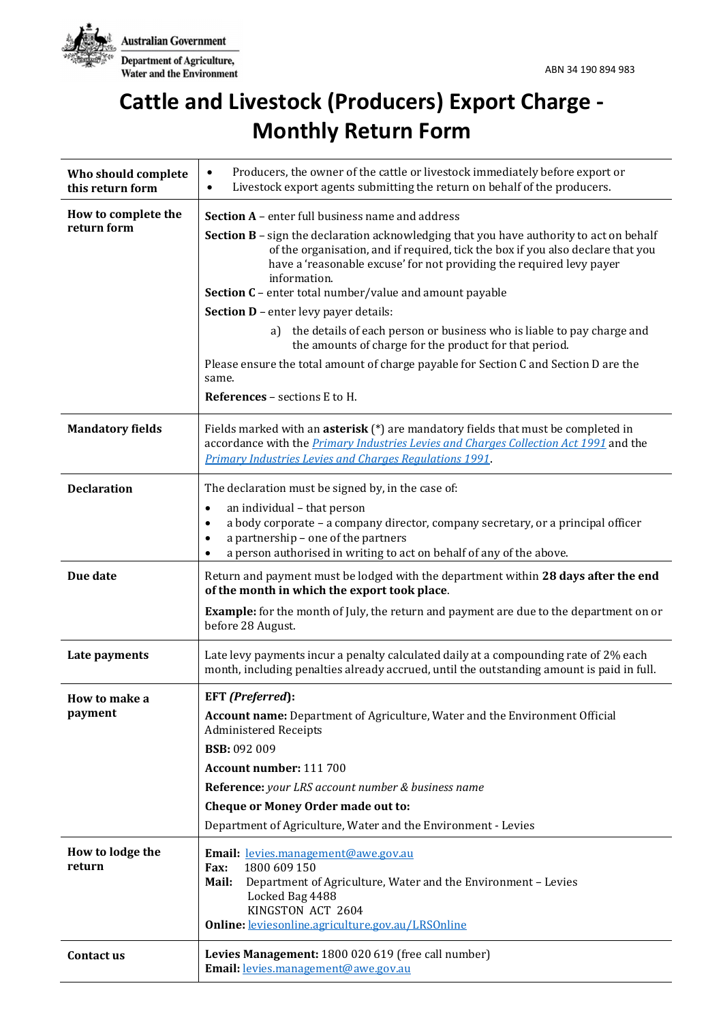

# **Cattle and Livestock (Producers) Export Charge - Monthly Return Form**

| Who should complete<br>this return form | Producers, the owner of the cattle or livestock immediately before export or<br>$\bullet$<br>Livestock export agents submitting the return on behalf of the producers.<br>$\bullet$                                                                                                                                                                                                                                                                                                                                                                                                                                                                                                                                  |
|-----------------------------------------|----------------------------------------------------------------------------------------------------------------------------------------------------------------------------------------------------------------------------------------------------------------------------------------------------------------------------------------------------------------------------------------------------------------------------------------------------------------------------------------------------------------------------------------------------------------------------------------------------------------------------------------------------------------------------------------------------------------------|
| How to complete the<br>return form      | <b>Section A</b> – enter full business name and address<br>Section B - sign the declaration acknowledging that you have authority to act on behalf<br>of the organisation, and if required, tick the box if you also declare that you<br>have a 'reasonable excuse' for not providing the required levy payer<br>information.<br>Section C - enter total number/value and amount payable<br><b>Section D</b> - enter levy payer details:<br>the details of each person or business who is liable to pay charge and<br>a)<br>the amounts of charge for the product for that period.<br>Please ensure the total amount of charge payable for Section C and Section D are the<br>same.<br>References - sections E to H. |
| <b>Mandatory fields</b>                 | Fields marked with an <b>asterisk</b> $(*)$ are mandatory fields that must be completed in<br>accordance with the <i>Primary Industries Levies and Charges Collection Act 1991</i> and the<br><b>Primary Industries Levies and Charges Regulations 1991.</b>                                                                                                                                                                                                                                                                                                                                                                                                                                                         |
| <b>Declaration</b>                      | The declaration must be signed by, in the case of:<br>an individual - that person<br>$\bullet$<br>a body corporate - a company director, company secretary, or a principal officer<br>$\bullet$<br>a partnership - one of the partners<br>$\bullet$<br>a person authorised in writing to act on behalf of any of the above.                                                                                                                                                                                                                                                                                                                                                                                          |
| Due date                                | Return and payment must be lodged with the department within 28 days after the end<br>of the month in which the export took place.<br><b>Example:</b> for the month of July, the return and payment are due to the department on or<br>before 28 August.                                                                                                                                                                                                                                                                                                                                                                                                                                                             |
| Late payments                           | Late levy payments incur a penalty calculated daily at a compounding rate of 2% each<br>month, including penalties already accrued, until the outstanding amount is paid in full.                                                                                                                                                                                                                                                                                                                                                                                                                                                                                                                                    |
| How to make a<br>payment                | <b>EFT</b> (Preferred):<br><b>Account name:</b> Department of Agriculture, Water and the Environment Official<br><b>Administered Receipts</b><br><b>BSB: 092 009</b><br>Account number: 111 700<br>Reference: your LRS account number & business name<br>Cheque or Money Order made out to:<br>Department of Agriculture, Water and the Environment - Levies                                                                                                                                                                                                                                                                                                                                                         |
| How to lodge the<br>return              | Email: levies.management@awe.gov.au<br>1800 609 150<br><b>Fax:</b><br>Mail:<br>Department of Agriculture, Water and the Environment - Levies<br>Locked Bag 4488<br>KINGSTON ACT 2604<br><b>Online:</b> leviesonline.agriculture.gov.au/LRSOnline                                                                                                                                                                                                                                                                                                                                                                                                                                                                     |
| Contact us                              | Levies Management: 1800 020 619 (free call number)<br>Email: levies.management@awe.gov.au                                                                                                                                                                                                                                                                                                                                                                                                                                                                                                                                                                                                                            |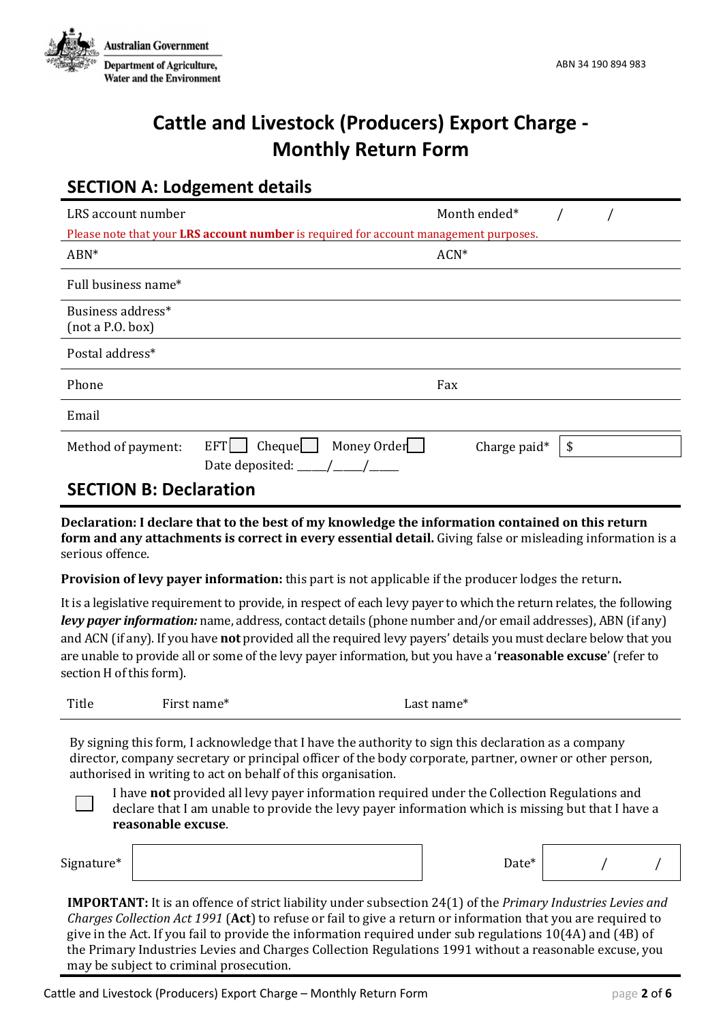

## **Cattle and Livestock (Producers) Export Charge - Monthly Return Form**

## **SECTION A: Lodgement details**

| LRS account number                                                                    |                                     | Month ended* |    |  |  |  |  |  |
|---------------------------------------------------------------------------------------|-------------------------------------|--------------|----|--|--|--|--|--|
| Please note that your LRS account number is required for account management purposes. |                                     |              |    |  |  |  |  |  |
| $ABN^*$                                                                               |                                     | $ACN^*$      |    |  |  |  |  |  |
| Full business name*                                                                   |                                     |              |    |  |  |  |  |  |
| Business address*<br>(not a P.0. box)                                                 |                                     |              |    |  |  |  |  |  |
| Postal address*                                                                       |                                     |              |    |  |  |  |  |  |
| Phone                                                                                 |                                     | Fax          |    |  |  |  |  |  |
| Email                                                                                 |                                     |              |    |  |  |  |  |  |
| Method of payment:                                                                    | Money Order<br><b>EFT</b><br>Cheque | Charge paid* | \$ |  |  |  |  |  |
|                                                                                       | Date deposited: ____/_              |              |    |  |  |  |  |  |
| <b>SECTION B: Declaration</b>                                                         |                                     |              |    |  |  |  |  |  |

**Declaration: I declare that to the best of my knowledge the information contained on this return form and any attachments is correct in every essential detail.** Giving false or misleading information is a serious offence.

**Provision of levy payer information:** this part is not applicable if the producer lodges the return**.** 

It is a legislative requirement to provide, in respect of each levy payer to which the return relates, the following *levy payer information:* name, address, contact details (phone number and/or email addresses), ABN (if any) and ACN (if any). If you have **not** provided all the required levy payers' details you must declare below that you are unable to provide all or some of the levy payer information, but you have a '**reasonable excuse**' (refer to section H of this form).

| Title | First name* | Last name* |
|-------|-------------|------------|
|       |             |            |

By signing this form, I acknowledge that I have the authority to sign this declaration as a company director, company secretary or principal officer of the body corporate, partner, owner or other person, authorised in writing to act on behalf of this organisation.

I have **not** provided all levy payer information required under the Collection Regulations and declare that I am unable to provide the levy payer information which is missing but that I have a **reasonable excuse**.

| Signature <sup>*</sup> |
|------------------------|
|------------------------|

**IMPORTANT:** It is an offence of strict liability under subsection 24(1) of the *Primary Industries Levies and Charges Collection Act 1991* (**Act**) to refuse or fail to give a return or information that you are required to give in the Act. If you fail to provide the information required under sub regulations 10(4A) and (4B) of the Primary Industries Levies and Charges Collection Regulations 1991 without a reasonable excuse, you may be subject to criminal prosecution.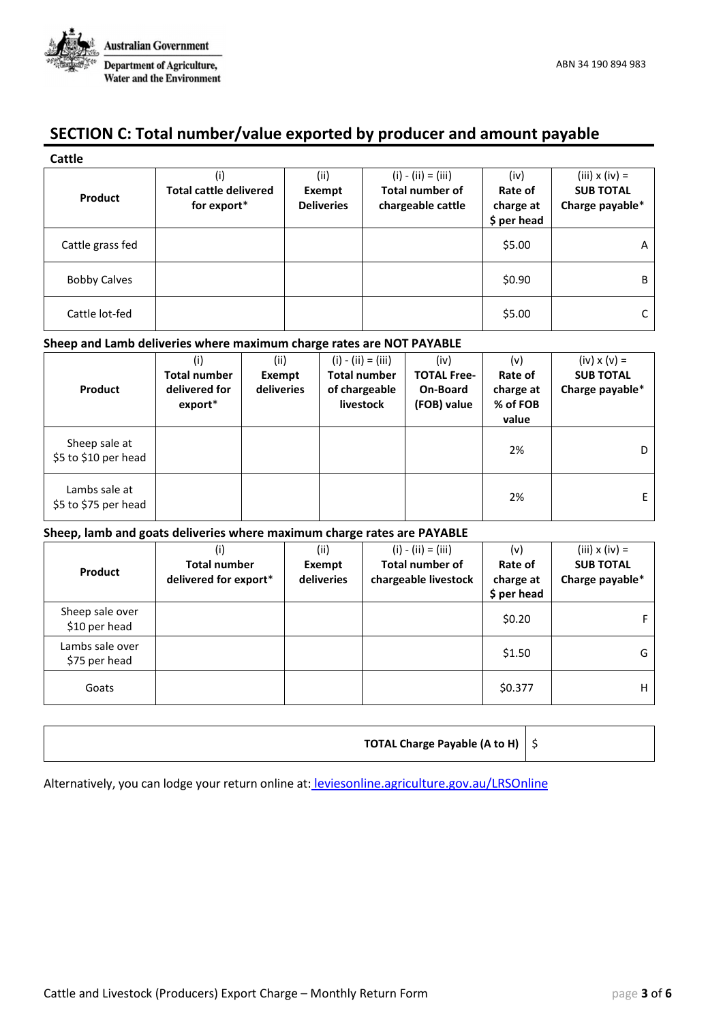

## **SECTION C: Total number/value exported by producer and amount payable**

| <b>Cattle</b>       |                                                     |                                     |                                                                     |                                             |                                                              |
|---------------------|-----------------------------------------------------|-------------------------------------|---------------------------------------------------------------------|---------------------------------------------|--------------------------------------------------------------|
| Product             | (i)<br><b>Total cattle delivered</b><br>for export* | (ii)<br>Exempt<br><b>Deliveries</b> | $(i) - (ii) = (iii)$<br><b>Total number of</b><br>chargeable cattle | (iv)<br>Rate of<br>charge at<br>\$ per head | $(iii) \times (iv) =$<br><b>SUB TOTAL</b><br>Charge payable* |
| Cattle grass fed    |                                                     |                                     |                                                                     | \$5.00                                      | A                                                            |
| <b>Bobby Calves</b> |                                                     |                                     |                                                                     | \$0.90                                      | B                                                            |
| Cattle lot-fed      |                                                     |                                     |                                                                     | \$5.00                                      |                                                              |

#### **Sheep and Lamb deliveries where maximum charge rates are NOT PAYABLE**

| Product                               | (i)<br><b>Total number</b><br>delivered for<br>$export*$ | (ii)<br>Exempt<br>deliveries | $(i) - (ii) = (iii)$<br><b>Total number</b><br>of chargeable<br>livestock | (iv)<br><b>TOTAL Free-</b><br>On-Board<br>(FOB) value | (v)<br>Rate of<br>charge at<br>% of FOB<br>value | $(iv) \times (v) =$<br><b>SUB TOTAL</b><br>Charge payable* |
|---------------------------------------|----------------------------------------------------------|------------------------------|---------------------------------------------------------------------------|-------------------------------------------------------|--------------------------------------------------|------------------------------------------------------------|
| Sheep sale at<br>\$5 to \$10 per head |                                                          |                              |                                                                           |                                                       | 2%                                               | D                                                          |
| Lambs sale at<br>\$5 to \$75 per head |                                                          |                              |                                                                           |                                                       | 2%                                               | E.                                                         |

#### **Sheep, lamb and goats deliveries where maximum charge rates are PAYABLE**

| Product                          | (i)<br><b>Total number</b><br>delivered for export* | (ii)<br>Exempt<br>deliveries | $(i) - (ii) = (iii)$<br><b>Total number of</b><br>chargeable livestock | (v)<br>Rate of<br>charge at<br>\$ per head | $(iii) \times (iv) =$<br><b>SUB TOTAL</b><br>Charge payable* |
|----------------------------------|-----------------------------------------------------|------------------------------|------------------------------------------------------------------------|--------------------------------------------|--------------------------------------------------------------|
| Sheep sale over<br>\$10 per head |                                                     |                              |                                                                        | \$0.20                                     |                                                              |
| Lambs sale over<br>\$75 per head |                                                     |                              |                                                                        | \$1.50                                     | G                                                            |
| Goats                            |                                                     |                              |                                                                        | \$0.377                                    | н                                                            |

| <b>TOTAL Charge Payable (A to H)</b> $\frac{1}{2}$ |  |
|----------------------------------------------------|--|
|----------------------------------------------------|--|

Alternatively, you can lodge your return online at: leviesonline.agriculture.gov.au/LRSOnline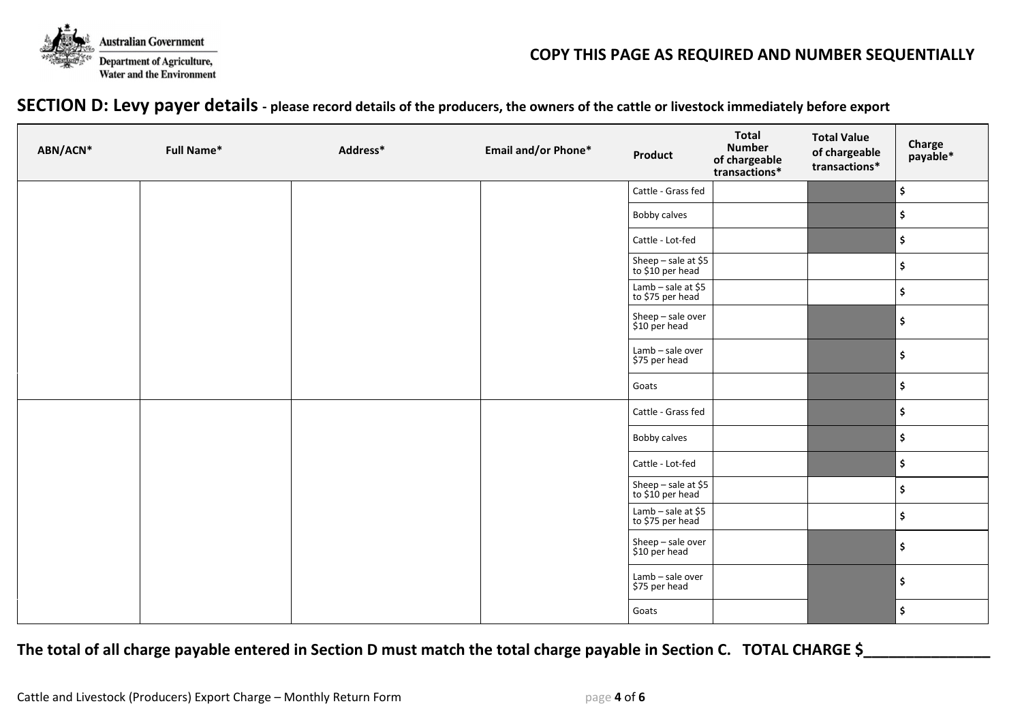

#### **COPY THIS PAGE AS REQUIRED AND NUMBER SEQUENTIALLY**

#### **SECTION D: Levy payer details - please record details of the producers, the owners of the cattle or livestock immediately before export**

| ABN/ACN* | <b>Full Name*</b> | Address* | <b>Email and/or Phone*</b>              | Product                                 | <b>Total</b><br><b>Number</b><br>of chargeable<br>transactions* | <b>Total Value</b><br>of chargeable<br>transactions* | Charge<br>payable*       |
|----------|-------------------|----------|-----------------------------------------|-----------------------------------------|-----------------------------------------------------------------|------------------------------------------------------|--------------------------|
|          |                   |          |                                         | Cattle - Grass fed                      |                                                                 |                                                      | \$                       |
|          |                   |          |                                         | <b>Bobby calves</b>                     |                                                                 |                                                      | $\vert \mathsf{s} \vert$ |
|          |                   |          |                                         | Cattle - Lot-fed                        |                                                                 |                                                      | \$                       |
|          |                   |          |                                         | Sheep - sale at \$5<br>to \$10 per head |                                                                 |                                                      | \$                       |
|          |                   |          |                                         | Lamb – sale at \$5<br>to \$75 per head  |                                                                 |                                                      | l\$                      |
|          |                   |          |                                         | Sheep - sale over<br>\$10 per head      |                                                                 |                                                      | \$                       |
|          |                   |          |                                         | Lamb - sale over<br>\$75 per head       |                                                                 |                                                      | \$                       |
|          |                   |          |                                         | Goats                                   |                                                                 |                                                      | \$                       |
|          |                   |          |                                         | Cattle - Grass fed                      |                                                                 |                                                      | \$                       |
|          |                   |          |                                         | Bobby calves                            |                                                                 |                                                      | $\vert \mathsf{s} \vert$ |
|          |                   |          |                                         | Cattle - Lot-fed                        |                                                                 |                                                      | $\vert \mathsf{s} \vert$ |
|          |                   |          | Sheep - sale at \$5<br>to \$10 per head |                                         |                                                                 | \$                                                   |                          |
|          |                   |          | Lamb - sale at \$5<br>to \$75 per head  |                                         |                                                                 | ۱\$                                                  |                          |
|          |                   |          | Sheep - sale over<br>\$10 per head      |                                         |                                                                 | \$                                                   |                          |
|          |                   |          | Lamb - sale over<br>\$75 per head       |                                         |                                                                 | \$                                                   |                          |
|          |                   |          |                                         | Goats                                   |                                                                 |                                                      | \$                       |

#### The total of all charge payable entered in Section D must match the total charge payable in Section C. TOTAL CHARGE \$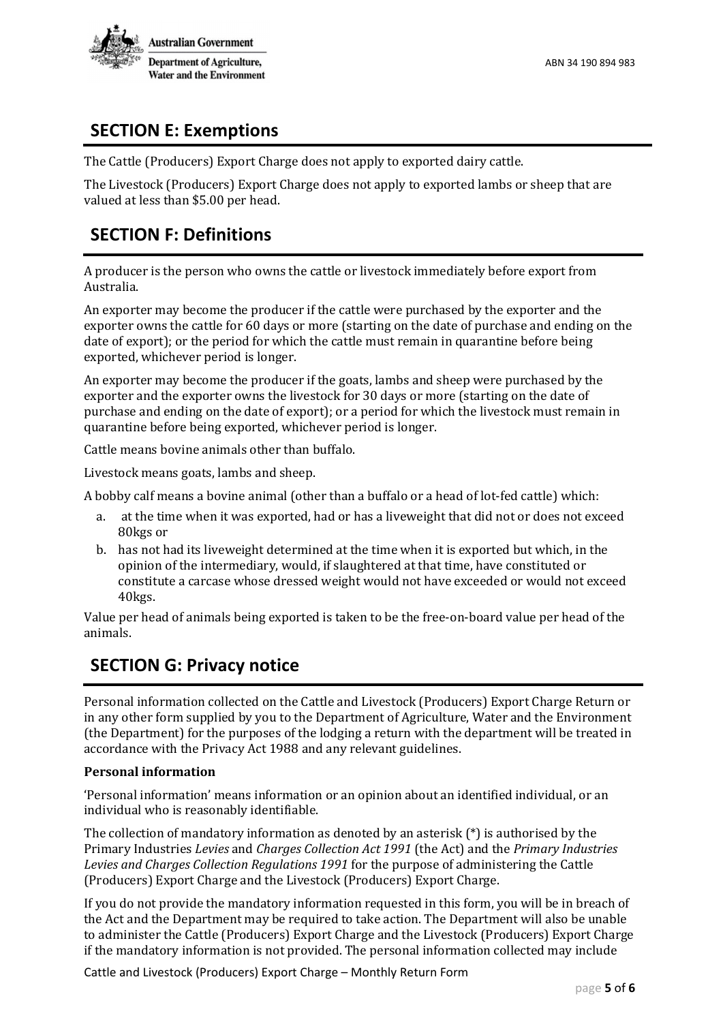

## **SECTION E: Exemptions**

The Cattle (Producers) Export Charge does not apply to exported dairy cattle.

The Livestock (Producers) Export Charge does not apply to exported lambs or sheep that are valued at less than \$5.00 per head.

## **SECTION F: Definitions**

A producer is the person who owns the cattle or livestock immediately before export from Australia.

An exporter may become the producer if the cattle were purchased by the exporter and the exporter owns the cattle for 60 days or more (starting on the date of purchase and ending on the date of export); or the period for which the cattle must remain in quarantine before being exported, whichever period is longer.

An exporter may become the producer if the goats, lambs and sheep were purchased by the exporter and the exporter owns the livestock for 30 days or more (starting on the date of purchase and ending on the date of export); or a period for which the livestock must remain in quarantine before being exported, whichever period is longer.

Cattle means bovine animals other than buffalo.

Livestock means goats, lambs and sheep.

A bobby calf means a bovine animal (other than a buffalo or a head of lot-fed cattle) which:

- a. at the time when it was exported, had or has a liveweight that did not or does not exceed 80kgs or
- b. has not had its liveweight determined at the time when it is exported but which, in the opinion of the intermediary, would, if slaughtered at that time, have constituted or constitute a carcase whose dressed weight would not have exceeded or would not exceed 40kgs.

Value per head of animals being exported is taken to be the free-on-board value per head of the animals.

### **SECTION G: Privacy notice**

Personal information collected on the Cattle and Livestock (Producers) Export Charge Return or in any other form supplied by you to the Department of Agriculture, Water and the Environment (the Department) for the purposes of the lodging a return with the department will be treated in accordance with the Privacy Act 1988 and any relevant guidelines.

#### **Personal information**

'Personal information' means information or an opinion about an identified individual, or an individual who is reasonably identifiable.

The collection of mandatory information as denoted by an asterisk  $(*)$  is authorised by the Primary Industries *Levies* and *Charges Collection Act 1991* (the Act) and the *Primary Industries Levies and Charges Collection Regulations 1991* for the purpose of administering the Cattle (Producers) Export Charge and the Livestock (Producers) Export Charge.

If you do not provide the mandatory information requested in this form, you will be in breach of the Act and the Department may be required to take action. The Department will also be unable to administer the Cattle (Producers) Export Charge and the Livestock (Producers) Export Charge if the mandatory information is not provided. The personal information collected may include

Cattle and Livestock (Producers) Export Charge – Monthly Return Form